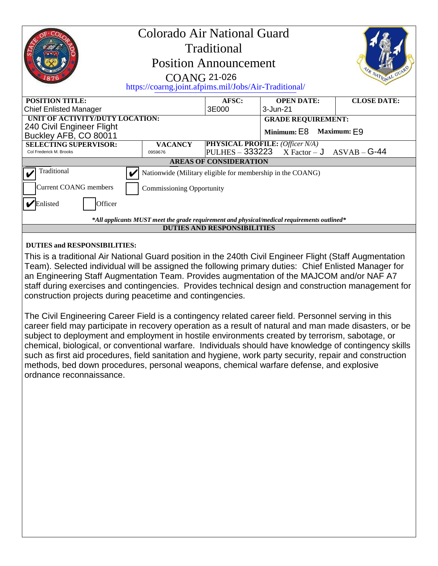| Colorado Air National Guard<br>Traditional<br><b>Position Announcement</b><br><b>COANG 21-026</b><br>https://coarng.joint.afpims.mil/Jobs/Air-Traditional/                                                                                                                                                                                                                                                                                                                        |       |                                        | IR NATIONAL GUA    |  |
|-----------------------------------------------------------------------------------------------------------------------------------------------------------------------------------------------------------------------------------------------------------------------------------------------------------------------------------------------------------------------------------------------------------------------------------------------------------------------------------|-------|----------------------------------------|--------------------|--|
| <b>POSITION TITLE:</b>                                                                                                                                                                                                                                                                                                                                                                                                                                                            | AFSC: | <b>OPEN DATE:</b>                      | <b>CLOSE DATE:</b> |  |
| <b>Chief Enlisted Manager</b>                                                                                                                                                                                                                                                                                                                                                                                                                                                     | 3E000 | 3-Jun-21                               |                    |  |
| UNIT OF ACTIVITY/DUTY LOCATION:                                                                                                                                                                                                                                                                                                                                                                                                                                                   |       | <b>GRADE REQUIREMENT:</b>              |                    |  |
| 240 Civil Engineer Flight<br>Buckley AFB, CO 80011                                                                                                                                                                                                                                                                                                                                                                                                                                |       | Minimum: E8 Maximum: E9                |                    |  |
| <b>SELECTING SUPERVISOR:</b><br><b>VACANCY</b>                                                                                                                                                                                                                                                                                                                                                                                                                                    |       | <b>PHYSICAL PROFILE: (Officer N/A)</b> |                    |  |
| <b>PULHES - 333223</b><br>$ASVAB - G-44$<br>$X Factor - J$<br>Col Frederick M. Brooks<br>0959676                                                                                                                                                                                                                                                                                                                                                                                  |       |                                        |                    |  |
| <b>AREAS OF CONSIDERATION</b>                                                                                                                                                                                                                                                                                                                                                                                                                                                     |       |                                        |                    |  |
| Traditional<br>Nationwide (Military eligible for membership in the COANG)                                                                                                                                                                                                                                                                                                                                                                                                         |       |                                        |                    |  |
| <b>Current COANG</b> members<br><b>Commissioning Opportunity</b>                                                                                                                                                                                                                                                                                                                                                                                                                  |       |                                        |                    |  |
| Enlisted<br>Officer                                                                                                                                                                                                                                                                                                                                                                                                                                                               |       |                                        |                    |  |
| $*$ All applicants MUST meet the grade requirement and physical/medical requirements outlined $*$                                                                                                                                                                                                                                                                                                                                                                                 |       |                                        |                    |  |
| <b>DUTIES AND RESPONSIBILITIES</b>                                                                                                                                                                                                                                                                                                                                                                                                                                                |       |                                        |                    |  |
| <b>DUTIES and RESPONSIBILITIES:</b>                                                                                                                                                                                                                                                                                                                                                                                                                                               |       |                                        |                    |  |
| This is a traditional Air National Guard position in the 240th Civil Engineer Flight (Staff Augmentation<br>Team). Selected individual will be assigned the following primary duties: Chief Enlisted Manager for<br>an Engineering Staff Augmentation Team. Provides augmentation of the MAJCOM and/or NAF A7<br>staff during exercises and contingencies. Provides technical design and construction management for<br>construction projects during peacetime and contingencies. |       |                                        |                    |  |

The Civil Engineering Career Field is a contingency related career field. Personnel serving in this career field may participate in recovery operation as a result of natural and man made disasters, or be subject to deployment and employment in hostile environments created by terrorism, sabotage, or chemical, biological, or conventional warfare. Individuals should have knowledge of contingency skills such as first aid procedures, field sanitation and hygiene, work party security, repair and construction methods, bed down procedures, personal weapons, chemical warfare defense, and explosive ordnance reconnaissance.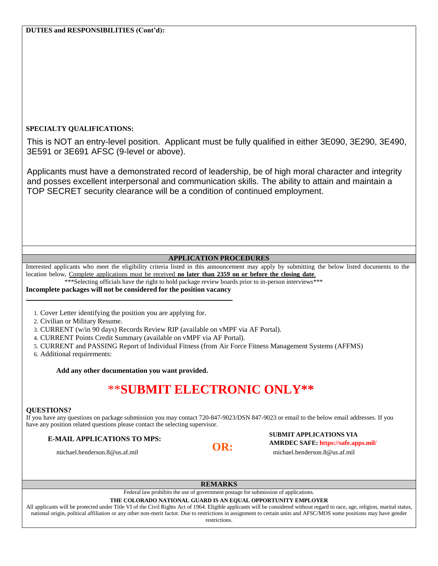### **SPECIALTY QUALIFICATIONS:**

This is NOT an entry-level position. Applicant must be fully qualified in either 3E090, 3E290, 3E490, 3E591 or 3E691 AFSC (9-level or above).

Applicants must have a demonstrated record of leadership, be of high moral character and integrity and posses excellent interpersonal and communication skills. The ability to attain and maintain a TOP SECRET security clearance will be a condition of continued employment.

### **APPLICATION PROCEDURES**

Interested applicants who meet the eligibility criteria listed in this announcement may apply by submitting the below listed documents to the location below**.** Complete applications must be received **no later than 2359 on or before the closing date**.

\*\*\*Selecting officials have the right to hold package review boards prior to in-person interviews\*\*\*

### **Incomplete packages will not be considered for the position vacancy**

1. Cover Letter identifying the position you are applying for.

2. Civilian or Military Resume.

3. CURRENT (w/in 90 days) Records Review RIP (available on vMPF via AF Portal).

4. CURRENT Points Credit Summary (available on vMPF via AF Portal).

5. CURRENT and PASSING Report of Individual Fitness (from Air Force Fitness Management Systems (AFFMS)

6. Additional requirements:

**Add any other documentation you want provided.**

# \*\***SUBMIT ELECTRONIC ONLY\*\***

### **QUESTIONS?**

If you have any questions on package submission you may contact 720-847-9023/DSN 847-9023 or email to the below email addresses. If you have any position related questions please contact the selecting supervisor.

## **E-MAIL APPLICATIONS TO MPS:** SUBMIT APPLICATIONS VIA **OR: AMRDEC SAFE: https://safe.apps.mil/**

michael.henderson.8@us.af.mil michael.henderson.8@us.af.mil

### **REMARKS**

Federal law prohibits the use of government postage for submission of applications.

### **THE COLORADO NATIONAL GUARD IS AN EQUAL OPPORTUNITY EMPLOYER**

All applicants will be protected under Title VI of the Civil Rights Act of 1964. Eligible applicants will be considered without regard to race, age, religion, marital status, national origin, political affiliation or any other non-merit factor. Due to restrictions in assignment to certain units and AFSC/MOS some positions may have gender

### restrictions.